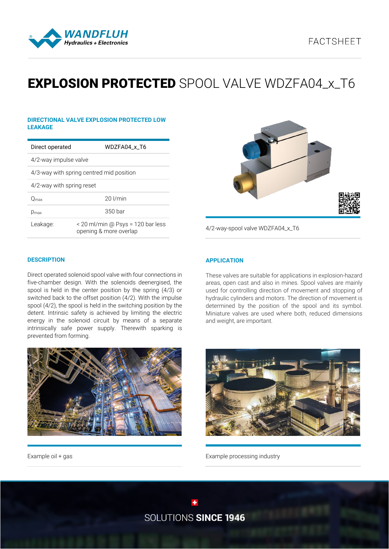

# **EXPLOSION PROTECTED** SPOOL VALVE WDZFA04 x T6

#### **DIRECTIONAL VALVE EXPLOSION PROTECTED LOW LEAKAGE**

| Direct operated                          | WDZFA04 x T6                                                |  |  |
|------------------------------------------|-------------------------------------------------------------|--|--|
| 4/2-way impulse valve                    |                                                             |  |  |
| 4/3-way with spring centred mid position |                                                             |  |  |
| 4/2-way with spring reset                |                                                             |  |  |
| O <sub>max</sub>                         | $20$ $l/min$                                                |  |  |
| D <sub>max</sub>                         | 350 bar                                                     |  |  |
| Leakage:                                 | < 20 ml/min @ Psys = 120 bar less<br>opening & more overlap |  |  |



4/2-way-spool valve WDZFA04\_x\_T6

#### **DESCRIPTION**

Direct operated solenoid spool valve with four connections in five-chamber design. With the solenoids deenergised, the spool is held in the center position by the spring (4/3) or switched back to the offset position (4/2). With the impulse spool (4/2), the spool is held in the switching position by the detent. Intrinsic safety is achieved by limiting the electric energy in the solenoid circuit by means of a separate intrinsically safe power supply. Therewith sparking is prevented from forming.



Example oil + gas

### **APPLICATION**

These valves are suitable for applications in explosion-hazard areas, open cast and also in mines. Spool valves are mainly used for controlling direction of movement and stopping of hydraulic cylinders and motors. The direction of movement is determined by the position of the spool and its symbol. Miniature valves are used where both, reduced dimensions and weight, are important.



Example processing industry